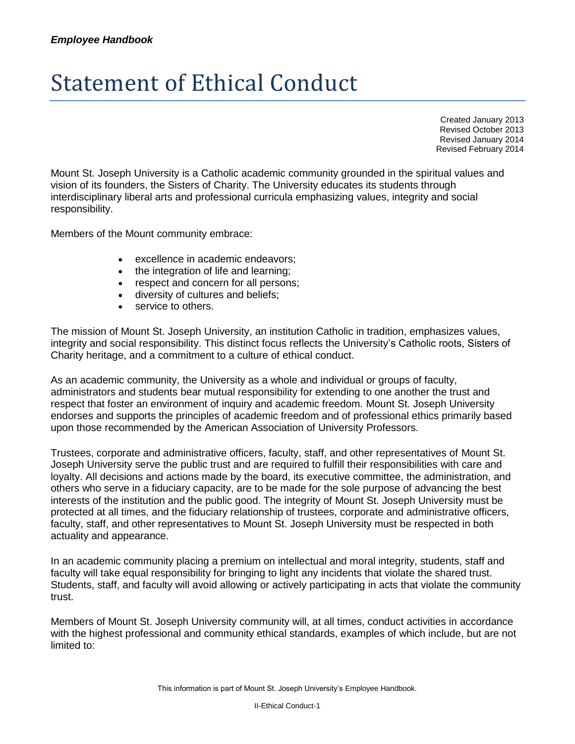## Statement of Ethical Conduct

Created January 2013 Revised October 2013 Revised January 2014 Revised February 2014

Mount St. Joseph University is a Catholic academic community grounded in the spiritual values and vision of its founders, the Sisters of Charity. The University educates its students through interdisciplinary liberal arts and professional curricula emphasizing values, integrity and social responsibility.

Members of the Mount community embrace:

- excellence in academic endeavors;
- the integration of life and learning;
- respect and concern for all persons;
- diversity of cultures and beliefs;
- service to others.

The mission of Mount St. Joseph University, an institution Catholic in tradition, emphasizes values, integrity and social responsibility. This distinct focus reflects the University's Catholic roots, Sisters of Charity heritage, and a commitment to a culture of ethical conduct.

As an academic community, the University as a whole and individual or groups of faculty, administrators and students bear mutual responsibility for extending to one another the trust and respect that foster an environment of inquiry and academic freedom. Mount St. Joseph University endorses and supports the principles of academic freedom and of professional ethics primarily based upon those recommended by the American Association of University Professors.

Trustees, corporate and administrative officers, faculty, staff, and other representatives of Mount St. Joseph University serve the public trust and are required to fulfill their responsibilities with care and loyalty. All decisions and actions made by the board, its executive committee, the administration, and others who serve in a fiduciary capacity, are to be made for the sole purpose of advancing the best interests of the institution and the public good. The integrity of Mount St. Joseph University must be protected at all times, and the fiduciary relationship of trustees, corporate and administrative officers, faculty, staff, and other representatives to Mount St. Joseph University must be respected in both actuality and appearance.

In an academic community placing a premium on intellectual and moral integrity, students, staff and faculty will take equal responsibility for bringing to light any incidents that violate the shared trust. Students, staff, and faculty will avoid allowing or actively participating in acts that violate the community trust.

Members of Mount St. Joseph University community will, at all times, conduct activities in accordance with the highest professional and community ethical standards, examples of which include, but are not limited to: